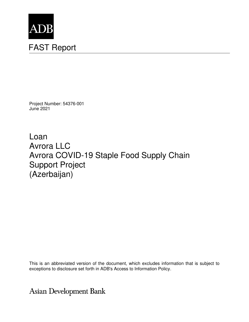

Project Number: 54376-001 June 2021

Loan Avrora LLC Avrora COVID-19 Staple Food Supply Chain Support Project (Azerbaijan)

This is an abbreviated version of the document, which excludes information that is subject to exceptions to disclosure set forth in ADB's Access to Information Policy.

Asian Development Bank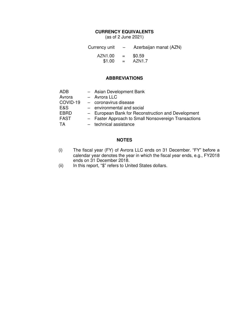### **CURRENCY EQUIVALENTS**

(as of 2 June 2021)

Currency unit – Azerbaijan manat (AZN) AZN1.00 = \$0.59<br>\$1.00 = AZN1.7  $$1.00 =$ 

### **ABBREVIATIONS**

| ADB         | - Asian Development Bank                             |
|-------------|------------------------------------------------------|
| Avrora      | - Avrora LLC                                         |
| COVID-19    | - coronavirus disease                                |
| E&S         | - environmental and social                           |
| <b>EBRD</b> | - European Bank for Reconstruction and Development   |
| <b>FAST</b> | - Faster Approach to Small Nonsovereign Transactions |
| TA          | - technical assistance                               |

#### **NOTES**

- (i) The fiscal year (FY) of Avrora LLC ends on 31 December. "FY" before a calendar year denotes the year in which the fiscal year ends, e.g., FY2018 ends on 31 December 2018.
- (ii) In this report, "\$" refers to United States dollars.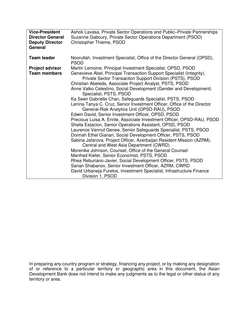| <b>Vice-President</b><br><b>Director General</b><br><b>Deputy Director</b><br>General | Ashok Lavasa, Private Sector Operations and Public–Private Partnerships<br>Suzanne Gaboury, Private Sector Operations Department (PSOD)<br>Christopher Thieme, PSOD                                                                                                                                                                                                                                                                                                                                                                                                                                                                                                                                                                                                                                                                                                                                                                                                                                                                                                                                                                                                                                                                         |
|---------------------------------------------------------------------------------------|---------------------------------------------------------------------------------------------------------------------------------------------------------------------------------------------------------------------------------------------------------------------------------------------------------------------------------------------------------------------------------------------------------------------------------------------------------------------------------------------------------------------------------------------------------------------------------------------------------------------------------------------------------------------------------------------------------------------------------------------------------------------------------------------------------------------------------------------------------------------------------------------------------------------------------------------------------------------------------------------------------------------------------------------------------------------------------------------------------------------------------------------------------------------------------------------------------------------------------------------|
| <b>Team leader</b>                                                                    | Noorullah, Investment Specialist, Office of the Director General (OPSD),<br><b>PSOD</b>                                                                                                                                                                                                                                                                                                                                                                                                                                                                                                                                                                                                                                                                                                                                                                                                                                                                                                                                                                                                                                                                                                                                                     |
| <b>Project advisor</b><br><b>Team members</b>                                         | Martin Lemoine, Principal Investment Specialist, OPSD, PSOD<br>Genevieve Abel, Principal Transaction Support Specialist (Integrity),<br>Private Sector Transaction Support Division (PSTS), PSOD<br>Christian Abeleda, Associate Project Analyst, PSTS, PSOD<br>Anne Valko Celestino, Social Development (Gender and Development)<br>Specialist, PSTS, PSOD<br>Ka Seen Gabrielle Chan, Safeguards Specialist, PSTS, PSOD<br>Lenina Tanya C. Cruz, Senior Investment Officer, Office of the Director<br>General-Risk Analytics Unit (OPSD-RAU), PSOD<br>Edwin David, Senior Investment Officer, OPSD, PSOD<br>Precious Luisa A. Enrile, Associate Investment Officer, OPSD-RAU, PSOD<br>Sheila Estacion, Senior Operations Assistant, OPSD, PSOD<br>Laurence Vannut Genee, Senior Safeguards Specialist, PSTS, PSOD<br>Donnah Ethel Gianan, Social Development Officer, PSTS, PSOD<br>Sabina Jafarova, Project Officer, Azerbaijan Resident Mission (AZRM),<br>Central and West Asia Department (CWRD)<br>Morenike Johnson, Counsel, Office of the General Counsel<br>Manfred Kiefer, Senior Economist, PSTS, PSOD<br>Rhea Reburiano-Javier, Social Development Officer, PSTS, PSOD<br>Sanan Shabanov, Senior Investment Officer, AZRM, CWRD |
|                                                                                       | David Urbaneja-Furelos, Investment Specialist, Infrastructure Finance<br>Division 1, PSOD                                                                                                                                                                                                                                                                                                                                                                                                                                                                                                                                                                                                                                                                                                                                                                                                                                                                                                                                                                                                                                                                                                                                                   |

In preparing any country program or strategy, financing any project, or by making any designation of or reference to a particular territory or geographic area in this document, the Asian Development Bank does not intend to make any judgments as to the legal or other status of any territory or area.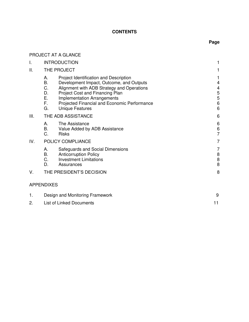# **CONTENTS**

# **Page**

|     | PROJECT AT A GLANCE                                                                                                                                                                                                                                                                                                                  |                                                             |  |
|-----|--------------------------------------------------------------------------------------------------------------------------------------------------------------------------------------------------------------------------------------------------------------------------------------------------------------------------------------|-------------------------------------------------------------|--|
| I.  | <b>INTRODUCTION</b>                                                                                                                                                                                                                                                                                                                  |                                                             |  |
| Ш.  | THE PROJECT                                                                                                                                                                                                                                                                                                                          |                                                             |  |
|     | А.<br>Project Identification and Description<br><b>B.</b><br>Development Impact, Outcome, and Outputs<br>C.<br>Alignment with ADB Strategy and Operations<br>Project Cost and Financing Plan<br>D.<br>Е.<br><b>Implementation Arrangements</b><br>F.<br>Projected Financial and Economic Performance<br>G.<br><b>Unique Features</b> | 1<br>4<br>4<br>5<br>5<br>$6\phantom{1}6$<br>$6\phantom{1}6$ |  |
| Ш.  | THE ADB ASSISTANCE                                                                                                                                                                                                                                                                                                                   | 6                                                           |  |
|     | А.<br>The Assistance<br>Β.<br>Value Added by ADB Assistance<br>C.<br><b>Risks</b>                                                                                                                                                                                                                                                    | 6<br>$\,6$<br>$\overline{7}$                                |  |
| IV. | POLICY COMPLIANCE                                                                                                                                                                                                                                                                                                                    | $\overline{7}$                                              |  |
|     | Safeguards and Social Dimensions<br>А.<br><b>B.</b><br><b>Anticorruption Policy</b><br>C.<br><b>Investment Limitations</b><br>D.<br>Assurances                                                                                                                                                                                       | 7<br>$\bf 8$<br>8<br>8                                      |  |
| V.  | THE PRESIDENT'S DECISION                                                                                                                                                                                                                                                                                                             | 8                                                           |  |
|     | <b>APPENDIXES</b>                                                                                                                                                                                                                                                                                                                    |                                                             |  |
| 1.  | Design and Monitoring Framework                                                                                                                                                                                                                                                                                                      | 9                                                           |  |
| 2.  | <b>List of Linked Documents</b>                                                                                                                                                                                                                                                                                                      | 11                                                          |  |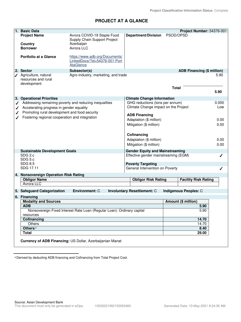# **PROJECT AT A GLANCE**

|   | <b>Basic Data</b>                                      |                                                                        |                                                                                |              | Project Number: 54376-001         |       |
|---|--------------------------------------------------------|------------------------------------------------------------------------|--------------------------------------------------------------------------------|--------------|-----------------------------------|-------|
|   | <b>Project Name</b>                                    | Avrora COVID-19 Staple Food                                            | <b>Department/Division</b>                                                     | PSOD/OPSD    |                                   |       |
|   |                                                        | Supply Chain Support Project                                           |                                                                                |              |                                   |       |
|   | Country                                                | Azerbaijan                                                             |                                                                                |              |                                   |       |
|   | <b>Borrower</b>                                        | Avrora LLC                                                             |                                                                                |              |                                   |       |
|   |                                                        |                                                                        |                                                                                |              |                                   |       |
|   | <b>Portfolio at a Glance</b>                           | https://www.adb.org/Documents/                                         |                                                                                |              |                                   |       |
|   |                                                        | LinkedDocs/?id=54376-001-Port                                          |                                                                                |              |                                   |       |
|   |                                                        | <b>AtaGlance</b>                                                       |                                                                                |              |                                   |       |
|   |                                                        |                                                                        |                                                                                |              |                                   |       |
|   | 2. Sector<br>Agriculture, natural                      | Subsector(s)<br>Agro-industry, marketing, and trade                    |                                                                                |              | <b>ADB Financing (\$ million)</b> | 5.90  |
| ℐ |                                                        |                                                                        |                                                                                |              |                                   |       |
|   | resources and rural<br>development                     |                                                                        |                                                                                |              |                                   |       |
|   |                                                        |                                                                        |                                                                                | <b>Total</b> |                                   |       |
|   |                                                        |                                                                        |                                                                                |              |                                   | 5.90  |
|   |                                                        |                                                                        |                                                                                |              |                                   |       |
|   | 3. Operational Priorities                              |                                                                        | <b>Climate Change Information</b>                                              |              |                                   |       |
|   | Addressing remaining poverty and reducing inequalities |                                                                        | GHG reductions (tons per annum)                                                |              |                                   | 0.000 |
|   | Accelerating progress in gender equality               |                                                                        | Climate Change impact on the Project                                           |              |                                   | Low   |
|   | Promoting rural development and food security          |                                                                        | <b>ADB Financing</b>                                                           |              |                                   |       |
|   | Fostering regional cooperation and integration         |                                                                        |                                                                                |              |                                   |       |
|   |                                                        |                                                                        | Adaptation (\$ million)                                                        |              |                                   | 0.00  |
|   |                                                        |                                                                        | Mitigation (\$ million)                                                        |              |                                   | 0.00  |
|   |                                                        |                                                                        |                                                                                |              |                                   |       |
|   |                                                        |                                                                        | Cofinancing                                                                    |              |                                   |       |
|   |                                                        |                                                                        | Adaptation (\$ million)                                                        |              |                                   | 0.00  |
|   |                                                        |                                                                        | Mitigation (\$ million)                                                        |              |                                   | 0.00  |
|   |                                                        |                                                                        |                                                                                |              |                                   |       |
|   | <b>Sustainable Development Goals</b><br>SDG 2.c        |                                                                        | <b>Gender Equity and Mainstreaming</b><br>Effective gender mainstreaming (EGM) |              |                                   |       |
|   | SDG 5.c                                                |                                                                        |                                                                                |              |                                   | ℐ     |
|   | <b>SDG 8.5</b>                                         |                                                                        | <b>Poverty Targeting</b>                                                       |              |                                   |       |
|   | SDG 17.11                                              |                                                                        | General Intervention on Poverty                                                |              |                                   | ∕     |
|   |                                                        |                                                                        |                                                                                |              |                                   |       |
|   | 4. Nonsovereign Operation Risk Rating                  |                                                                        |                                                                                |              |                                   |       |
|   | <b>Obligor Name</b>                                    |                                                                        | <b>Obligor Risk Rating</b>                                                     |              | <b>Facility Risk Rating</b>       |       |
|   | <b>Avrora LLC</b>                                      |                                                                        |                                                                                |              |                                   |       |
|   | 5. Safeguard Categorization                            | <b>Environment: C</b>                                                  | <b>Involuntary Resettlement: C</b>                                             |              | Indigenous Peoples: C             |       |
|   | 6. Financing                                           |                                                                        |                                                                                |              |                                   |       |
|   | <b>Modality and Sources</b>                            |                                                                        |                                                                                |              | Amount (\$ million)               |       |
|   | <b>ADB</b>                                             |                                                                        |                                                                                |              | 5.90                              |       |
|   |                                                        | Nonsovereign Fixed Interest Rate Loan (Regular Loan): Ordinary capital |                                                                                |              | 5.90                              |       |
|   | resources                                              |                                                                        |                                                                                |              |                                   |       |
|   | Cofinancing                                            |                                                                        |                                                                                |              | 14.70                             |       |
|   | Others                                                 |                                                                        |                                                                                |              | 14.70                             |       |
|   | Others <sup>a</sup>                                    |                                                                        |                                                                                |              | 8.40                              |       |
|   | <b>Total</b>                                           |                                                                        |                                                                                |              | 29.00                             |       |
|   |                                                        |                                                                        |                                                                                |              |                                   |       |
|   |                                                        | Currency of ADB Financing: US Dollar, Azerbaijanian Manat              |                                                                                |              |                                   |       |
|   |                                                        |                                                                        |                                                                                |              |                                   |       |

<sup>a</sup> Derived by deducting ADB financing and Cofinancing from Total Project Cost.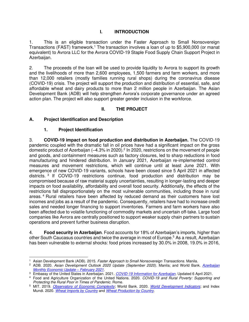# **I. INTRODUCTION**

1. This is an eligible transaction under the Faster Approach to Small Nonsovereign Transactions (FAST) framework.<sup>1</sup> The transaction involves a loan of up to \$5,900,000 (or manat equivalent) to Avrora LLC for the Avrora COVID-19 Staple Food Supply Chain Support Project in Azerbaijan.

2. The proceeds of the loan will be used to provide liquidity to Avrora to support its growth and the livelihoods of more than 2,600 employees, 1,500 farmers and farm workers, and more than 12,000 retailers (mostly families running rural shops) during the coronavirus disease (COVID-19) crisis. The project will support the production and distribution of essential, safe, and affordable wheat and dairy products to more than 2 million people in Azerbaijan. The Asian Development Bank (ADB) will help strengthen Avrora's corporate governance under an agreed action plan. The project will also support greater gender inclusion in the workforce.

# **II. THE PROJECT**

## **A. Project Identification and Description**

## **1. Project Identification**

3. **COVID-19 impact on food production and distribution in Azerbaijan.** The COVID-19 pandemic coupled with the dramatic fall in oil prices have had a significant impact on the gross domestic product of Azerbaijan ( $-4.3\%$  in 2020).<sup>2</sup> In 2020, restrictions on the movement of people and goods, and containment measures such as factory closures, led to sharp reductions in food manufacturing and hindered distribution. In January 2021, Azerbaijan re-implemented control measures and movement restrictions, which will continue until at least June 2021. With emergence of new COVID-19 variants, schools have been closed since 5 April 2021 in affected districts.<sup>3</sup> If COVID-19 restrictions continue, food production and distribution may be compromised because of raw material supply uncertainties, resulting in longer-lasting and deeper impacts on food availability, affordability and overall food security. Additionally, the effects of the restrictions fall disproportionately on the most vulnerable communities, including those in rural areas.<sup>4</sup> Rural retailers have been affected by reduced demand as their customers have lost incomes and jobs as a result of the pandemic. Consequently, retailers have had to increase credit sales and needed longer financing to support inventories. Farmers and farm workers have also been affected due to volatile functioning of commodity markets and uncertain off-take. Large food companies like Avrora are centrally positioned to support weaker supply chain partners to sustain operations and prevent further business disruption.

4. **Food security in Azerbaijan**. Food accounts for 18% of Azerbaijan's imports, higher than other South Caucasus countries and twice the average in most of Europe.<sup>5</sup> As a result, Azerbaijan has been vulnerable to external shocks: food prices increased by 30.0% in 2008, 19.0% in 2016,

<sup>1</sup> Asian Development Bank (ADB). 2015. *Faster Approach to Small Nonsovereign Transactions*. Manila.

<sup>2</sup> ADB. 2020. *Asian Development Outlook 2020 Update (September 2020)*. Manila; and World Bank. *[Azerbaijan](https://pubdocs.worldbank.org/en/758841613395935918/AZE-MEU-February-2021.pdf)  [Monthly Economic Update](https://pubdocs.worldbank.org/en/758841613395935918/AZE-MEU-February-2021.pdf) – February 2021*.

<sup>3</sup> Embassy of the United States in Azerbaijan. 2021. *[COVID-19 Information for Azerbaijan](https://az.usembassy.gov/covid-19-information-for-azerbaijan/)*. Updated 6 April 2021.

<sup>4</sup> Food and Agriculture Organization of the United Nations. 2020. *COVID-19 and Rural Poverty: Supporting and Protecting the Rural Poor in Times of Pandemic*. Rome.

<sup>5</sup> MIT. 2019. *[Observatory of Economic Complexity](https://oec.world/en/visualize/tree_map/hs92/export/aze/all/show/2018/)*; World Bank. 2020. *[World Development Indicators](https://data.worldbank.org/country/azerbaijan)*; and Index Mundi. 2020. *[Wheat Imports by Country](https://www.indexmundi.com/agriculture/?commodity=wheat&graph=imports)* and *[Wheat Production by Country](https://www.indexmundi.com/agriculture/?commodity=wheat&graph=production)*.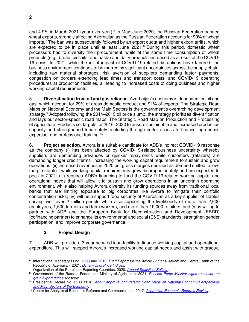and 4.9% in March 2021 (year-over-year).<sup>6</sup> In May–June 2020, the Russian Federation banned wheat exports, strongly affecting Azerbaijan as the Russian Federation accounts for 90% of wheat imports.<sup>7</sup> The ban was subsequently followed by an export quota and higher export tariffs, which are expected to be in place until at least June 2021.<sup>8</sup> During this period, domestic wheat processors had to diversify their procurement, while at the same time consumption of wheat products (e.g., bread, biscuits, and pasta) and dairy products increased as a result of the COVID-19 crisis. In 2021, while the initial impact of COVID-19-related disruptions have tapered, the business environment continues to be marred by significant uncertainties across the supply chain, including raw material shortages, risk aversion of suppliers demanding faster payments, congestion on borders extending lead times and transport costs, and COVID-19 operating procedures at production facilities, all leading to increased costs of doing business and higher working capital requirements.

5. **Diversification from oil and gas reliance**. Azerbaijan's economy is dependent on oil and gas, which account for 29% of gross domestic product and 91% of exports. The Strategic Road Maps on National Economy and the Main Sectors is the government's overarching development strategy.<sup>9</sup> Adopted following the 2014–2015 oil price slump, the strategy prioritizes diversification and lays out sector-specific road maps. The Strategic Road Map on Production and Processing of Agricultural Products set targets for 2016–2020 to ensure sustainable and increased production capacity and strengthened food safety, including through better access to finance, agronomic expertise, and professional training.<sup>10</sup>

6. **Project selection.** Avrora is a suitable candidate for ADB's indirect COVID-19 response as the company (i) has been affected by COVID-19-related business uncertainty whereby suppliers are demanding advances or quicker repayments while customers (retailers) are demanding longer credit terms, increasing the working capital requirement to sustain and grow operations; (ii) increased revenues in 2020 but gross margins declined as demand shifted to lowmargin staples, while working capital requirements grew disproportionately and are expected to peak in 2021; (iii) requires ADB's financing to fund the COVID-19-related working capital and operational needs that will allow it to sustain and grow operations in an uncertain operating environment, while also helping Avrora diversify its funding sources away from traditional local banks that are limiting exposure to big corporates like Avrora to mitigate their portfolio concentration risks; (iv) will help support food security of Azerbaijan as a key supplier of staples serving well over 2 million people while also supporting the livelihoods of more than 2,600 employees, 1,500 farmers and farm workers, and more than 10,000 retailers; and (v) is willing to partner with ADB and the European Bank for Reconstruction and Development (EBRD) (cofinancing partner) to enhance its environmental and social (E&S) standards, strengthen gender participation, and improve corporate governance.

# **2. Project Design**

7. ADB will provide a 3-year secured loan facility to finance working capital and operational expenditure. This will support Avrora's increased working capital needs and assist with gradual

<sup>6</sup> International Monetary Fund. [2008](https://www.imf.org/external/pubs/ft/scr/2008/cr08214.pdf) and [2016.](https://www.imf.org/external/pubs/ft/scr/2016/cr16296.pdf) *Staff Report for the Article IV Consultation*; and Central Bank of the Republic of Azerbaijan. 2021. *[Dynamics of Price Indices](https://www.cbar.az/page-41/macroeconomic-indicators)*.

<sup>7</sup> Organization of the Petroleum Exporting Countries. 2020. *[Annual Statistical Bulletin](https://asb.opec.org/)*.

<sup>8</sup> Government of the Russian Federation, Ministry of Agriculture. 2021. *[Russian Prime Minister signs resolution on](https://mcx.gov.ru/en/news/Russian-Prime-Minister-signs-resolution-on-grain-export-duties/)  [grain export duties](https://mcx.gov.ru/en/news/Russian-Prime-Minister-signs-resolution-on-grain-export-duties/)*. Moscow.

<sup>9</sup> Presidential Decree No. 1138. 2016. *[About Approval of Strategic Road Maps on National Economy Perspectives](https://cis-legislation.com/document.fwx?rgn=91715)  [and Main Sectors of the Economy](https://cis-legislation.com/document.fwx?rgn=91715)*.

<sup>10</sup> Center for Analysis of Economic Reforms and Communication. 2017. *[Azerbaijan Economic Reforms Review](http://ecoreform.az/store/media/ekspert_yazilari/august_issue/SYX-kend%20teserrufati_en_.pdf)*.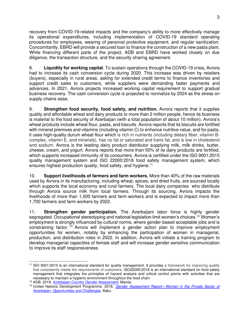recovery from COVID-19-related impacts and the company's ability to more effectively manage its operational expenditures, including implementation of COVID-19 standard operating procedures for employees, wearing of personal protective equipment, and regular sanitization. Concomitantly, EBRD will provide a secured loan to finance the construction of a new pasta plant. While financing different parts of the project, ADB and EBRD have worked closely on due diligence, the transaction structure, and the security sharing agreement.

8. **Liquidity for working capital**. To sustain operations through the COVID-19 crisis, Avrora had to increase its cash conversion cycle during 2020. This increase was driven by retailers (buyers), especially in rural areas, asking for extended credit terms to finance inventories and support credit sales to customers, while suppliers were demanding faster payments and advances. In 2021, Avrora projects increased working capital requirement to support gradual business recovery. The cash conversion cycle is projected to normalize by 2024 as the stress on supply chains ease.

9. **Strengthen food security, food safety, and nutrition.** Avrora reports that it supplies quality and affordable wheat and dairy products to more than 2 million people, hence its business is material to the food security of Azerbaijan (with a total population of about 10 million). Avrora's wheat products include wheat flour, pasta, and biscuits. Avrora reports that its biscuits are fortified with mineral premixes and vitamins (including vitamin C) to enhance nutritive value, and for pasta, it uses high-quality durum wheat flour which is rich in nutrients (including dietary fiber, vitamin Bcomplex, vitamin E, and minerals), has no fat or saturated and trans fat, and is low in cholesterol and sodium. Avrora is the leading dairy product distributor supplying milk, milk drinks, butter, cheese, cream, and yogurt. Avrora reports that more than 50% of its dairy products are fortified, which supports increased immunity of its consumers. Avrora is certified under the ISO 9001:2015 quality management system and ISO 22000:2018 food safety management system, which ensures highest production quality, food safety, and hygiene.<sup>11</sup>

10. **Support livelihoods of farmers and farm workers.** More than 40% of the raw materials used by Avrora in its manufacturing, including wheat, spices, and dried fruits, are sourced locally which supports the local economy and rural farmers. The local dairy companies who distribute through Avrora source milk from local farmers. Through its sourcing, Avrora impacts the livelihoods of more than 1,500 farmers and farm workers and is expected to impact more than 1,700 farmers and farm workers by 2022.

11. **Strengthen gender participation.** The Azerbaijani labor force is highly gender segregated. Occupational stereotyping and national legislation limit women's choices.<sup>12</sup> Women's employment is strongly influenced by cultural norms, where gender-based acceptable jobs and is constraining factor. <sup>13</sup> Avrora will implement a gender action plan to improve employment opportunities for women, notably by enhancing the participation of women in managerial, production, and distribution roles in 2022. In addition, Avrora will initiate a training program to develop managerial capacities of female staff and will increase gender-sensitive communication to improve its staff responsiveness.

<sup>11</sup> ISO 9001:2015 is an international standard for quality management. It provides a framework for improving quality that consistently meets the requirements of customers. ISO22000:2018 is an international standard on food safety management that integrates the principles of hazard analysis and critical control points with activities that are necessary to maintain a hygienic environment throughout the food chain.

<sup>12</sup> ADB. 2019. *[Azerbaijan Country Gender Assessment](https://www.adb.org/sites/default/files/institutional-document/546166/azerbaijan-country-gender-assessment-2019.pdf)*. Manila.

<sup>13</sup> United Nations Development Programme. 2018. *Gender Assessment Report—[Women in the Private Sector of](https://www.az.undp.org/content/azerbaijan/en/home/library/UNDP-AZE-Gender-Assessment-report.html)  [Azerbaijan: Opportunities and Challenges](https://www.az.undp.org/content/azerbaijan/en/home/library/UNDP-AZE-Gender-Assessment-report.html)*. Baku.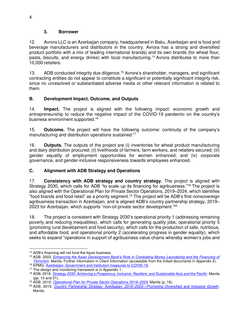#### **3. Borrower**

12. Avrora LLC is an Azerbaijan company, headquartered in Baku, Azerbaijan and is food and beverage manufacturers and distributors in the country. Avrora has a strong and diversified product portfolio with a mix of leading international brands) and its own brands (for wheat flour, pasta, biscuits, and energy drinks) with local manufacturing.<sup>14</sup> Avrora distributes to more than 10,000 retailers.

13. ADB conducted integrity due diligence.<sup>15</sup> Avrora's shareholder, managers, and significant contracting entities do not appear to constitute a significant or potentially significant integrity risk, since no unresolved or substantiated adverse media or other relevant information is related to them.

# **B. Development Impact, Outcome, and Outputs**

14. **Impact.** The project is aligned with the following impact: economic growth and entrepreneurship to reduce the negative impact of the COVID-19 pandemic on the country's business environment supported.<sup>16</sup>

15. **Outcome.** The project will have the following outcome: continuity of the company's manufacturing and distribution operations sustained.<sup>17</sup>

16. **Outputs.** The outputs of the project are (i) inventories for wheat product manufacturing and dairy distribution procured; (ii) livelihoods of farmers, farm workers, and retailers secured; (iii) gender equality of employment opportunities for women enhanced; and (iv) corporate governance, and gender-inclusive responsiveness towards employees enhanced.

# **C. Alignment with ADB Strategy and Operations**

17. **Consistency with ADB strategy and country strategy.** The project is aligned with Strategy 2030, which calls for ADB "to scale up its financing for agribusiness."<sup>18</sup> The project is also aligned with the Operational Plan for Private Sector Operations, 2019–2024, which identifies "food brands and food retail" as a priority segment.<sup>19</sup> The project will be ADB's first nonsovereign agribusiness transaction in Azerbaijan, and is aligned ADB's country partnership strategy, 2019– 2023 for Azerbaijan, which supports "non-oil private sector development."<sup>20</sup>

18. The project is consistent with Strategy 2030's operational priority 1 (addressing remaining poverty and reducing inequalities), which calls for generating quality jobs; operational priority 5 (promoting rural development and food security), which calls for the production of safe, nutritious, and affordable food; and operational priority 2 (accelerating progress in gender equality), which seeks to expand "operations in support of agribusiness value chains whereby women's jobs and

<sup>14</sup> ADB's financing will not fund the liquor business.

<sup>15</sup> ADB. 2003. *[Enhancing the Asian Development Bank's Role in Combating Money Laundering and the Financing of](https://www.adb.org/sites/default/files/institutional-document/32109/money-laundering-terrorism.pdf)  [Terrorism.](https://www.adb.org/sites/default/files/institutional-document/32109/money-laundering-terrorism.pdf)* Manila. Further information in Client Information (accessible from the linked documents in Appendix 2). <sup>16</sup> KPMG. [Azerbaijan: Government and institution measures to COVID-19.](https://home.kpmg/xx/en/home/insights/2020/04/azerbaijan-government-and-institution-measures-in-response-to-covid.html)

<sup>&</sup>lt;sup>17</sup> The design and monitoring framework is in Appendix 1.

<sup>18</sup> ADB. 2018. *[Strategy 2030: Achieving a Prosperous, Inclusive, Resilient, and Sustainable Asia and the Pacific](https://www.adb.org/sites/default/files/institutional-document/435391/strategy-2030-main-document.pdf)*. Manila (pp. 15 and 21).

<sup>19</sup> ADB. 2019. *[Operational Plan for Private Sector Operations 2019](https://www.adb.org/sites/default/files/institutional-document/558661/op-private-sector-operations-2019-2024.pdf)–2024*. Manila (p. 16).

<sup>20</sup> ADB. 2019. *[Country Partnership Strategy: Azerbaijan, 2019](file:///C:/Users/nu3/OneDrive%20-%20Asian%20Development%20Bank/ADB%20Work/CAS/Avrora/OneADB/cps-aze-2019-2023.pdf)–2023—Promoting Diversified and Inclusive Growth*. Manila.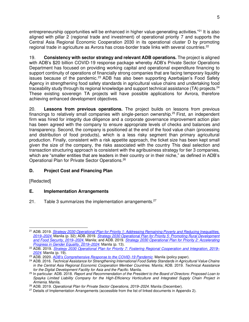entrepreneurship opportunities will be enhanced in higher value-generating activities."<sup>21</sup> It is also aligned with pillar 2 (regional trade and investment) of operational priority 7 and supports the Central Asia Regional Economic Cooperation 2030 in its operational cluster D by promoting regional trade in agriculture as Avrora has cross-border trade links with several countries.<sup>22</sup>

19. **Consistency with sector strategy and relevant ADB operations.** The project is aligned with ADB's \$20 billion COVID-19 response package whereby ADB's Private Sector Operations Department has focused on providing working capital and operational expenditure financing to support continuity of operations of financially strong companies that are facing temporary liquidity issues because of the pandemic.<sup>23</sup> ADB has also been supporting Azerbaijan's Food Safety Agency in strengthening food safety standards in agricultural value chains and undertaking food traceability study through its regional knowledge and support technical assistance (TA) projects.<sup>24</sup> These existing sovereign TA projects will have possible applications for Avrora, therefore achieving enhanced development objectives.

20. **Lessons from previous operations.** The project builds on lessons from previous financings to relatively small companies with single-person ownership.<sup>25</sup> First, an independent firm was hired for integrity due diligence and a corporate governance improvement action plan has been agreed with the company to ensure appropriate levels of checks and balances and transparency. Second, the company is positioned at the end of the food value chain (processing and distribution of food products), which is a less risky segment than primary agricultural production. Finally, consistent with a risk appetite approach, the ticket size has been kept small given the size of the company, the risks associated with the country This deal selection and transaction structuring approach is consistent with the agribusiness strategy for tier 3 companies, which are "smaller entities that are leaders in their country or in their niche," as defined in ADB's Operational Plan for Private Sector Operations.<sup>26</sup>

## **D. Project Cost and Financing Plan**

[Redacted]

## **E. Implementation Arrangements**

21. Table 3 summarizes the implementation arrangements. $27$ 

<sup>21</sup> ADB. 2019. *[Strategy 2030 Operational Plan for Priority 1: Addressing Remaining Poverty and Reducing Inequalities,](https://www.adb.org/documents/strategy-2030-op1-poverty-inequalities)  2019–[2024.](https://www.adb.org/documents/strategy-2030-op1-poverty-inequalities)* Manila (p. 32); ADB. 2019. *[Strategy 2030 Operational Plan for Priority 5: Promoting Rural Development](https://www.adb.org/documents/strategy-2030-op5-rural-development-food-security)  [and Food Security, 2019](https://www.adb.org/documents/strategy-2030-op5-rural-development-food-security)–2024*. Manila; and ADB. 2019. *[Strategy 2030 Operational Plan for Priority 2: Accelerating](https://www.adb.org/documents/strategy-2030-op2-gender-equality)  [Progress in Gender Equality,](https://www.adb.org/documents/strategy-2030-op2-gender-equality) 2019–2024*. Manila (p. 13).

<sup>&</sup>lt;sup>22</sup> ADB. 2019. *[Strategy 2030 Operational Plan for Priority 7: Fostering](https://www.adb.org/sites/default/files/institutional-document/495981/strategy-2030-op7-regional-cooperation-integration.pdf) Regional Cooperation and Integration, 2019– 2024*. Manila (p. 19).

<sup>23</sup> ADB. 2020. *[ADB's Comprehensive Response to the COVID](https://www.adb.org/sites/default/files/institutional-document/579616/adbs-comprehensive-response-covid-19-pandemic-redacted-version.pdf)-19 Pandemic.* Manila (policy paper).

<sup>24</sup> ADB. 2016. *Technical Assistance for Strengthening International Food Safety Standards in Agricultural Value Chains in the Central Asia Regional Economic Cooperation Member Countries.* Manila; ADB. 2019. *Technical Assistance for the Digital Development Facility for Asia and the Pacific.* Manila.

<sup>25</sup> In particular: ADB. 2018. *Report and Recommendation of the President to the Board of Directors: Proposed Loan to Spayka Limited Liability Company for the High-Efficiency Horticulture and Integrated Supply Chain Project in Armenia*. Manila.

<sup>26</sup> ADB. 2019. *Operational Plan for Private Sector Operations, 2019–2024*. Manila (December).

<sup>&</sup>lt;sup>27</sup> Details of Implementation Arrangements (accessible from the list of linked documents in Appendix 2).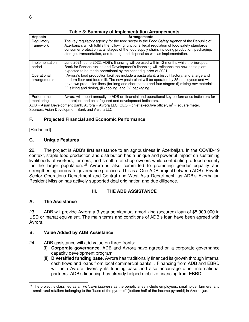| <b>Aspects</b>              | <b>Arrangements</b>                                                                                                                                                                                                                                                                                                                                                           |
|-----------------------------|-------------------------------------------------------------------------------------------------------------------------------------------------------------------------------------------------------------------------------------------------------------------------------------------------------------------------------------------------------------------------------|
| Regulatory<br>framework     | The key regulatory agency for the food sector is the Food Safety Agency of the Republic of<br>Azerbaijan, which fulfills the following functions: legal regulation of food safety standards;<br>consumer protection at all stages of the food supply chain, including production, packaging,<br>storage, transportation, and trading; and disposal as well as implementation. |
|                             |                                                                                                                                                                                                                                                                                                                                                                               |
| Implementation<br>period    | June 2021–June 2022. ADB's financing will be used within 12 months while the European<br>Bank for Reconstruction and Development's financing will refinance the new pasta plant<br>expected to be made operational by the second quarter of 2021.                                                                                                                             |
| Operational<br>arrangements | . Avrora's food production facilities include a pasta plant, a biscuit factory, and a large and<br>modern flour and feed mill. The new pasta plant will be operated by 35 employees and will<br>have two production lines (for long and short pasta) and four stages: (i) mixing raw materials,<br>(ii) slicing and drying, (iii) cooling, and (iv) packaging.                |
| Performance<br>monitoring   | Avrora will report annually to ADB on financial and operational key performance indicators for<br>the project, and on safeguard and development indicators.                                                                                                                                                                                                                   |

### **Table 3: Summary of Implementation Arrangements**

ADB = Asian Development Bank, Avrora = Avrora LLC, CEO = chief executive officer,  $m^2$  = square meter. Sources: Asian Development Bank and Avrora LLC.

## **F. Projected Financial and Economic Performance**

[Redacted]

## **G. Unique Features**

22. The project is ADB's first assistance to an agribusiness in Azerbaijan. In the COVID-19 context, staple food production and distribution has a unique and powerful impact on sustaining livelihoods of workers, farmers, and small rural shop owners while contributing to food security for the larger population.  $28$  Avrora is also committed to promoting gender equality and strengthening corporate governance practices. This is a One ADB project between ADB's Private Sector Operations Department and Central and West Asia Department, as ADB's Azerbaijan Resident Mission has actively supported deal origination and due diligence.

## **III. THE ADB ASSISTANCE**

### **A. The Assistance**

23. ADB will provide Avrora a 3-year semiannual amortizing (secured) loan of \$5,900,000 in USD or manat equivalent. The main terms and conditions of ADB's loan have been agreed with Avrora.

#### **B. Value Added by ADB Assistance**

- 24. ADB assistance will add value on three fronts:
	- (i) **Corporate governance.** ADB and Avrora have agreed on a corporate governance capacity development program
	- (ii) **Diversified funding base.** Avrora has traditionally financed its growth through internal cash flows and loans from local commercial banks. . Financing from ADB and EBRD will help Avrora diversify its funding base and also encourage other international partners. ADB's financing has already helped mobilize financing from EBRD.

<sup>28</sup> The project is classified as an *inclusive business* as the beneficiaries include employees, smallholder farmers, and small rural retailers belonging to the "base of the pyramid" (bottom half of the income pyramid) in Azerbaijan.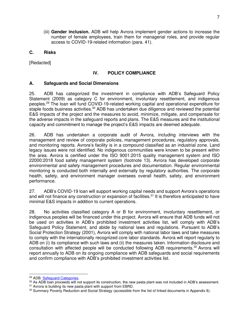(iii) **Gender inclusion.** ADB will help Avrora implement gender actions to increase the number of female employees, train them for managerial roles, and provide regular access to COVID-19-related information (para. 41).

#### **C. Risks**

[Redacted]

## **IV. POLICY COMPLIANCE**

## **A. Safeguards and Social Dimensions**

25. ADB has categorized the investment in compliance with ADB's Safeguard Policy Statement (2009) as category C for environment, involuntary resettlement, and indigenous peoples.<sup>29</sup> The loan will fund COVID-19-related working capital and operational expenditure for staple foods business activities.<sup>30</sup> ADB has undertaken due diligence and reviewed the potential E&S impacts of the project and the measures to avoid, minimize, mitigate, and compensate for the adverse impacts in the safeguard reports and plans. The E&S measures and the institutional capacity and commitment to manage the project's E&S impacts are deemed adequate.

26. ADB has undertaken a corporate audit of Avrora, including interviews with the management and review of corporate policies, management procedures, regulatory approvals, and monitoring reports. Avrora's facility is in a compound classified as an industrial zone. Land legacy issues were not identified. No indigenous communities were known to be present within the area. Avrora is certified under the ISO 9001:2015 quality management system and ISO 22000:2018 food safety management system (footnote 13). Avrora has developed corporate environmental and safety management procedures and documentation. Regular environmental monitoring is conducted both internally and externally by regulatory authorities. The corporate health, safety, and environment manager oversees overall health, safety, and environment performance.

27. ADB's COVID-19 loan will support working capital needs and support Avrora's operations and will not finance any construction or expansion of facilities.<sup>31</sup> It is therefore anticipated to have minimal E&S impacts in addition to current operations.

28. No activities classified category A or B for environment, involuntary resettlement, or indigenous peoples will be financed under this project. Avrora will ensure that ADB funds will not be used on activities in ADB's prohibited investment activities list, will comply with ADB's Safeguard Policy Statement, and abide by national laws and regulations. Pursuant to ADB's Social Protection Strategy (2001), Avrora will comply with national labor laws and take measures to comply with the internationally recognized core labor standards. Avrora will report regularly to ADB on (i) its compliance with such laws and (ii) the measures taken. Information disclosure and consultation with affected people will be conducted following ADB requirements.<sup>32</sup> Avrora will report annually to ADB on its ongoing compliance with ADB safeguards and social requirements and confirm compliance with ADB's prohibited investment activities list.

<sup>&</sup>lt;sup>29</sup> ADB. **Safeguard Categories**.

<sup>30</sup> As ADB loan proceeds will not support its construction, the new pasta plant was not included in ADB's assessment.

 $31$  Avrora is building its new pasta plant with support from EBRD.

<sup>32</sup> Summary Poverty Reduction and Social Strategy (accessible from the list of linked documents in Appendix 8).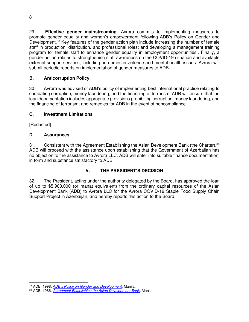29. **Effective gender mainstreaming.** Avrora commits to implementing measures to promote gender equality and women's empowerment following ADB's Policy on Gender and Development.<sup>33</sup> Key features of the gender action plan include increasing the number of female staff in production, distribution, and professional roles; and developing a management training program for female staff to enhance gender equality in employment opportunities.. Finally, a gender action relates to strengthening staff awareness on the COVID-19 situation and available external support services, including on domestic violence and mental health issues. Avrora will submit periodic reports on implementation of gender measures to ADB.

# **B. Anticorruption Policy**

30. Avrora was advised of ADB's policy of implementing best international practice relating to combating corruption, money laundering, and the financing of terrorism. ADB will ensure that the loan documentation includes appropriate provisions prohibiting corruption, money laundering, and the financing of terrorism; and remedies for ADB in the event of noncompliance.

# **C. Investment Limitations**

[Redacted]

# **D. Assurances**

31. Consistent with the Agreement Establishing the Asian Development Bank (the Charter),<sup>34</sup> ADB will proceed with the assistance upon establishing that the Government of Azerbaijan has no objection to the assistance to Avrora LLC. ADB will enter into suitable finance documentation, in form and substance satisfactory to ADB.

# **V. THE PRESIDENT'S DECISION**

32. The President, acting under the authority delegated by the Board, has approved the loan of up to \$5,900,000 (or manat equivalent) from the ordinary capital resources of the Asian Development Bank (ADB) to Avrora LLC for the Avrora COVID-19 Staple Food Supply Chain Support Project in Azerbaijan, and hereby reports this action to the Board.

<sup>33</sup> ADB. 1998. *[ADB's Policy on Gender and Development](https://www.adb.org/sites/default/files/institutional-document/32035/gender-policy.pdf)*. Manila.

<sup>34</sup> ADB. 1966. *[Agreement Establishing the Asian Development Bank.](https://www.adb.org/documents/agreement-establishing-asian-development-bank-adb-charter)* Manila.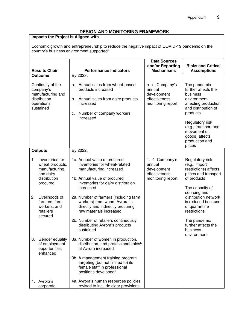# **DESIGN AND MONITORING FRAMEWORK**

# **Impacts the Project is Aligned with**

Economic growth and entrepreneurship to reduce the negative impact of COVID-19 pandemic on the country's business environment supported<sup>a</sup>

|                | <b>Results Chain</b>                                                                                                                             | <b>Performance Indicators</b>                                                                                                                                                                                                                                                             | <b>Data Sources</b><br>and/or Reporting<br><b>Mechanisms</b>                   | <b>Risks and Critical</b><br><b>Assumptions</b>                                                                                                                                                                                    |
|----------------|--------------------------------------------------------------------------------------------------------------------------------------------------|-------------------------------------------------------------------------------------------------------------------------------------------------------------------------------------------------------------------------------------------------------------------------------------------|--------------------------------------------------------------------------------|------------------------------------------------------------------------------------------------------------------------------------------------------------------------------------------------------------------------------------|
| <b>Outcome</b> |                                                                                                                                                  | By 2023:                                                                                                                                                                                                                                                                                  |                                                                                |                                                                                                                                                                                                                                    |
|                | Continuity of the<br>company's<br>manufacturing and<br>distribution<br>operations<br>sustained                                                   | Annual sales from wheat-based<br>a.<br>products increased<br>Annual sales from dairy products<br>b.<br>increased<br>Number of company workers<br>c.<br>increased                                                                                                                          | a.-c. Company's<br>annual<br>development<br>effectiveness<br>monitoring report | The pandemic<br>further affects the<br>business<br>environment,<br>affecting production<br>and distribution of<br>products<br>Regulatory risk<br>(e.g., transport and<br>movement of<br>goods) affects<br>production and<br>prices |
|                | <b>Outputs</b>                                                                                                                                   | By 2022:                                                                                                                                                                                                                                                                                  |                                                                                |                                                                                                                                                                                                                                    |
| 1.<br>2.       | Inventories for<br>wheat products,<br>manufacturing,<br>and dairy<br>distribution<br>procured<br>Livelihoods of<br>farmers, farm<br>workers, and | 1a. Annual value of procured<br>inventories for wheat-related<br>manufacturing increased<br>1b. Annual value of procured<br>inventories for dairy distribution<br>increased<br>2a. Number of farmers (including farm<br>workers) from whom Avrora is<br>directly and indirectly procuring | 1.-4. Company's<br>annual<br>development<br>effectiveness<br>monitoring report | Regulatory risk<br>(e.g., import<br>restrictions) affects<br>prices and transport<br>of products<br>The capacity of<br>sourcing and<br>distribution network<br>is reduced because<br>of quarantine                                 |
|                | retailers<br>secured                                                                                                                             | raw materials increased<br>2b. Number of retailers continuously<br>distributing Avrora's products<br>sustained                                                                                                                                                                            |                                                                                | restrictions<br>The pandemic<br>further affects the<br>business<br>environment                                                                                                                                                     |
|                | 3. Gender equality<br>of employment<br>opportunities<br>enhanced                                                                                 | 3a. Number of women in production,<br>distribution, and professional roles <sup>b</sup><br>at Avrora increased<br>3b. A management training program<br>targeting (but not limited to) its<br>female staff in professional<br>positions developed <sup>c</sup>                             |                                                                                |                                                                                                                                                                                                                                    |
|                | 4. Avrora's<br>corporate                                                                                                                         | 4a. Avrora's human resources policies<br>revised to include clear provisions                                                                                                                                                                                                              |                                                                                |                                                                                                                                                                                                                                    |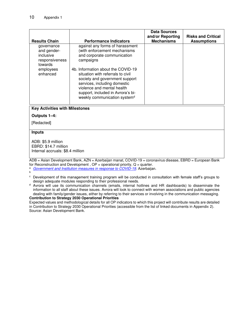|                                                                     |                                                                                                                                                                                                                                                          | <b>Data Sources</b><br>and/or Reporting | <b>Risks and Critical</b> |
|---------------------------------------------------------------------|----------------------------------------------------------------------------------------------------------------------------------------------------------------------------------------------------------------------------------------------------------|-----------------------------------------|---------------------------|
| <b>Results Chain</b>                                                | <b>Performance Indicators</b>                                                                                                                                                                                                                            | <b>Mechanisms</b>                       | <b>Assumptions</b>        |
| governance<br>and gender-<br>inclusive<br>responsiveness<br>towards | against any forms of harassment<br>(with enforcement mechanisms<br>and corporate communication<br>campaigns                                                                                                                                              |                                         |                           |
| employees<br>enhanced                                               | 4b. Information about the COVID-19<br>situation with referrals to civil<br>society and government support<br>services, including domestic<br>violence and mental health<br>support, included in Avrora's bi-<br>weekly communication system <sup>d</sup> |                                         |                           |

#### **Key Activities with Milestones**

#### **Outputs 1–4:**

[Redacted]

#### **Inputs**

ADB: \$5.9 million EBRD: \$14.7 million Internal accruals: \$8.4 million

ADB = Asian Development Bank, AZN = Azerbaijan manat, COVID-19 = coronavirus disease, EBRD = European Bank for Reconstruction and Development,  $OP =$  operational priority,  $Q =$  quarter.

<sup>a</sup> *[Government and Institution measures in response to COVID-19](https://home.kpmg/xx/en/home/insights/2020/04/azerbaijan-government-and-institution-measures-in-response-to-covid.html)*. Azerbaijan.

b

<sup>d</sup> Avrora will use its communication channels (emails, internal hotlines and HR dashboards) to disseminate the information to all staff about these issues. Avrora will look to connect with women associations and public agencies dealing with family/gender issues, either by referring to their services or involving in the communication messaging.

#### **Contribution to Strategy 2030 Operational Priorities**

Expected values and methodological details for all OP indicators to which this project will contribute results are detailed in Contribution to Strategy 2030 Operational Priorities (accessible from the list of linked documents in Appendix 2). Source: Asian Development Bank.

<sup>c</sup> Development of this management training program will be conducted in consultation with female staff's groups to design adequate modules responding to their professional needs.